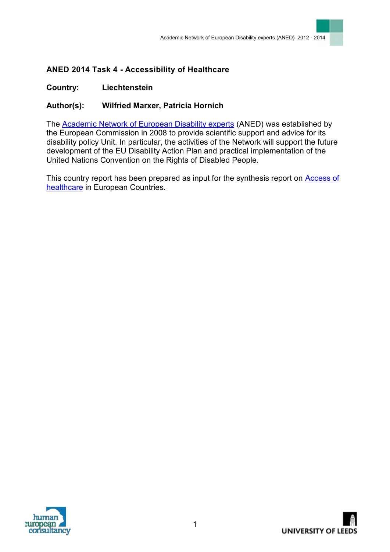## **ANED 2014 Task 4 - Accessibility of Healthcare**

## **Country: Liechtenstein**

## **Author(s): Wilfried Marxer, Patricia Hornich**

The **Academic Network of European Disability experts** (ANED) was established by the European Commission in 2008 to provide scientific support and advice for its disability policy Unit. In particular, the activities of the Network will support the future development of the EU Disability Action Plan and practical implementation of the United Nations Convention on the Rights of Disabled People.

This country report has been prepared as input for the synthesis report on [Access of](http://www.disability-europe.net/content/aned/media/ANED%202014%20-%20Task%204%20-%20synthesis%20final.doc)  [healthcare](http://www.disability-europe.net/content/aned/media/ANED%202014%20-%20Task%204%20-%20synthesis%20final.doc) in European Countries.

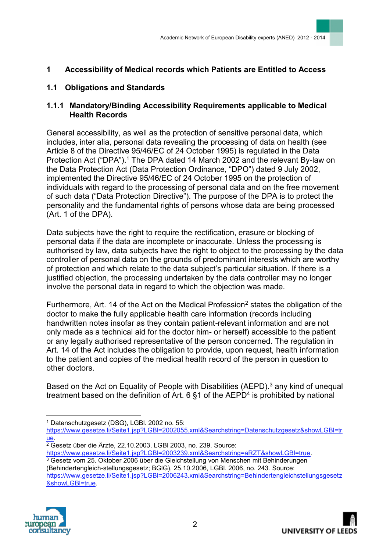### **1 Accessibility of Medical records which Patients are Entitled to Access**

### **1.1 Obligations and Standards**

### **1.1.1 Mandatory/Binding Accessibility Requirements applicable to Medical Health Records**

General accessibility, as well as the protection of sensitive personal data, which includes, inter alia, personal data revealing the processing of data on health (see Article 8 of the Directive 95/46/EC of 24 October 1995) is regulated in the Data Protection Act ("DPA").<sup>1</sup> The DPA dated 14 March 2002 and the relevant By-law on the Data Protection Act (Data Protection Ordinance, "DPO") dated 9 July 2002, implemented the Directive 95/46/EC of 24 October 1995 on the protection of individuals with regard to the processing of personal data and on the free movement of such data ("Data Protection Directive"). The purpose of the DPA is to protect the personality and the fundamental rights of persons whose data are being processed (Art. 1 of the DPA).

[Data subjects h](https://clientsites.linklaters.com/Clients/dataprotected/Glossary/Pages/Index.aspx)ave the right to require the rectification, erasure or blocking of personal data if the data are incomplete or inaccurate. Unless the processing is authorised by law, [data subjects h](https://clientsites.linklaters.com/Clients/dataprotected/Glossary/Pages/Index.aspx)ave the right to object to the processing by the [data](https://clientsites.linklaters.com/Clients/dataprotected/Glossary/Pages/Index.aspx)  [controller o](https://clientsites.linklaters.com/Clients/dataprotected/Glossary/Pages/Index.aspx)f personal data on the grounds of predominant interests which are worthy of protection and which relate to the [data subject's](https://clientsites.linklaters.com/Clients/dataprotected/Glossary/Pages/Index.aspx) particular situation. If there is a justified objection, the processing undertaken by the [data controller m](https://clientsites.linklaters.com/Clients/dataprotected/Glossary/Pages/Index.aspx)ay no longer involve the personal data in regard to which the objection was made.

Furthermore, Art. 14 of the Act on the Medical Profession<sup>2</sup> states the obligation of the doctor to make the fully applicable health care information (records including handwritten notes insofar as they contain patient-relevant information and are not only made as a technical aid for the doctor him- or herself) accessible to the patient or any legally authorised representative of the person concerned. The regulation in Art. 14 of the Act includes the obligation to provide, upon request, health information to the patient and copies of the medical health record of the person in question to other doctors.

Based on the Act on Equality of People with Disabilities (AEPD).<sup>3</sup> any kind of unequal treatment based on the definition of Art.  $6 \,$ §1 of the AEPD<sup>4</sup> is prohibited by national

[https://www.gesetze.li/Seite1.jsp?LGBl=2002055.xml&Searchstring=Datenschutzgesetz&showLGBl=tr](https://www.gesetze.li/Seite1.jsp?LGBl=2002055.xml&Searchstring=Datenschutzgesetz&showLGBl=true) [ue.](https://www.gesetze.li/Seite1.jsp?LGBl=2002055.xml&Searchstring=Datenschutzgesetz&showLGBl=true)

 $2\overline{2}$  Gesetz über die Ärzte, 22.10.2003, LGBI 2003, no. 239. Source:

[https://www.gesetze.li/Seite1.jsp?LGBl=2003239.xml&Searchstring=aRZT&showLGBl=true.](https://www.gesetze.li/Seite1.jsp?LGBl=2003239.xml&Searchstring=aRZT&showLGBl=true)

<sup>&</sup>lt;sup>3</sup> Gesetz vom 25. Oktober 2006 über die Gleichstellung von Menschen mit Behinderungen (Behindertengleich-stellungsgesetz; BGlG), 25.10.2006, LGBl. 2006, no. 243. Source: [https://www.gesetze.li/Seite1.jsp?LGBl=2006243.xml&Searchstring=Behindertengleichstellungsgesetz](https://www.gesetze.li/Seite1.jsp?LGBl=2006243.xml&Searchstring=Behindertengleichstellungsgesetz&showLGBl=true) [&showLGBl=true.](https://www.gesetze.li/Seite1.jsp?LGBl=2006243.xml&Searchstring=Behindertengleichstellungsgesetz&showLGBl=true)





 $\overline{a}$ <sup>1</sup> Datenschutzgesetz (DSG), LGBl. 2002 no. 55: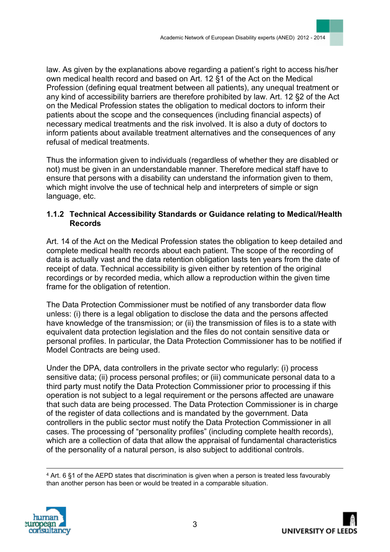law. As given by the explanations above regarding a patient's right to access his/her own medical health record and based on Art. 12 §1 of the Act on the Medical Profession (defining equal treatment between all patients), any unequal treatment or any kind of accessibility barriers are therefore prohibited by law. Art. 12 §2 of the Act on the Medical Profession states the obligation to medical doctors to inform their patients about the scope and the consequences (including financial aspects) of necessary medical treatments and the risk involved. It is also a duty of doctors to inform patients about available treatment alternatives and the consequences of any refusal of medical treatments.

Thus the information given to individuals (regardless of whether they are disabled or not) must be given in an understandable manner. Therefore medical staff have to ensure that persons with a disability can understand the information given to them, which might involve the use of technical help and interpreters of simple or sign language, etc.

#### **1.1.2 Technical Accessibility Standards or Guidance relating to Medical/Health Records**

Art. 14 of the Act on the Medical Profession states the obligation to keep detailed and complete medical health records about each patient. The scope of the recording of data is actually vast and the data retention obligation lasts ten years from the date of receipt of data. Technical accessibility is given either by retention of the original recordings or by recorded media, which allow a reproduction within the given time frame for the obligation of retention.

The Data Protection Commissioner must be notified of any [transborder data flow](https://clientsites.linklaters.com/Clients/dataprotected/Glossary/Pages/Index.aspx)  unless: (i) there is a legal obligation to disclose the data and the persons affected have knowledge of the transmission; or (ii) the transmission of files is to a state with equivalent data protection legislation and the files do not contain sensitive data or personal profiles. In particular, the Data Protection Commissioner has to be notified if [Model Contracts a](https://clientsites.linklaters.com/Clients/dataprotected/Glossary/Pages/Index.aspx)re being used.

Under the DPA, data controllers in the private sector who regularly: (i) process sensitive data; (ii) process personal profiles; or (iii) communicate personal data to a third party must notify the Data Protection Commissioner prior to processing if this operation is not subject to a legal requirement or the persons affected are unaware that such data are being processed. The Data Protection Commissioner is in charge of the register of data collections and is mandated by the government. Data controllers in the public sector must notify the Data Protection Commissioner in all cases. The processing of "personality profiles" (including complete health records), which are a collection of data that allow the appraisal of fundamental characteristics of the personality of a natural person, is also subject to additional controls.

 $\overline{a}$ <sup>4</sup> Art. 6 §1 of the AEPD states that discrimination is given when a person is treated less favourably than another person has been or would be treated in a comparable situation.



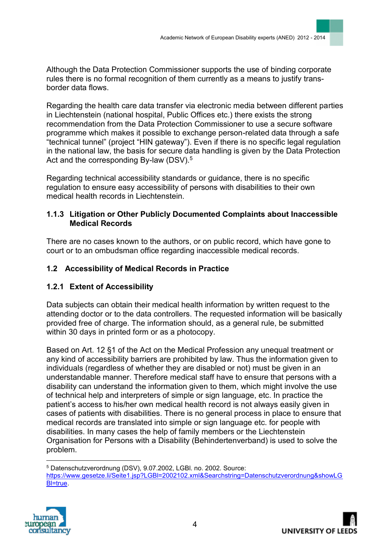Although the Data Protection Commissioner supports the use of [binding corporate](https://clientsites.linklaters.com/Clients/dataprotected/Glossary/Pages/Index.aspx)  [rules t](https://clientsites.linklaters.com/Clients/dataprotected/Glossary/Pages/Index.aspx)here is no formal recognition of them currently as a means to justify [trans](https://clientsites.linklaters.com/Clients/dataprotected/Glossary/Pages/Index.aspx)[border data flows.](https://clientsites.linklaters.com/Clients/dataprotected/Glossary/Pages/Index.aspx)

Regarding the health care data transfer via electronic media between different parties in Liechtenstein (national hospital, Public Offices etc.) there exists the strong recommendation from the Data Protection Commissioner to use a secure software programme which makes it possible to exchange person-related data through a safe "technical tunnel" (project "HIN gateway"). Even if there is no specific legal regulation in the national law, the basis for secure data handling is given by the Data Protection Act and the corresponding By-law (DSV).<sup>5</sup>

Regarding technical accessibility standards or guidance, there is no specific regulation to ensure easy accessibility of persons with disabilities to their own medical health records in Liechtenstein.

### **1.1.3 Litigation or Other Publicly Documented Complaints about Inaccessible Medical Records**

There are no cases known to the authors, or on public record, which have gone to court or to an ombudsman office regarding inaccessible medical records.

## **1.2 Accessibility of Medical Records in Practice**

## **1.2.1 Extent of Accessibility**

[Data subjects c](https://clientsites.linklaters.com/Clients/dataprotected/Glossary/Pages/Index.aspx)an obtain their medical health information by written request to the attending doctor or to the [data controllers.](https://clientsites.linklaters.com/Clients/dataprotected/Glossary/Pages/Index.aspx) The requested information will be basically provided free of charge. The information should, as a general rule, be submitted within 30 days in printed form or as a photocopy.

Based on Art. 12 §1 of the Act on the Medical Profession any unequal treatment or any kind of accessibility barriers are prohibited by law. Thus the information given to individuals (regardless of whether they are disabled or not) must be given in an understandable manner. Therefore medical staff have to ensure that persons with a disability can understand the information given to them, which might involve the use of technical help and interpreters of simple or sign language, etc. In practice the patient's access to his/her own medical health record is not always easily given in cases of patients with disabilities. There is no general process in place to ensure that medical records are translated into simple or sign language etc. for people with disabilities. In many cases the help of family members or the Liechtenstein Organisation for Persons with a Disability (Behindertenverband) is used to solve the problem.

 $\overline{a}$ <sup>5</sup> Datenschutzverordnung (DSV), 9.07.2002, LGBl. no. 2002. Source: [https://www.gesetze.li/Seite1.jsp?LGBl=2002102.xml&Searchstring=Datenschutzverordnung&showLG](https://www.gesetze.li/Seite1.jsp?LGBl=2002102.xml&Searchstring=Datenschutzverordnung&showLGBl=true) [Bl=true.](https://www.gesetze.li/Seite1.jsp?LGBl=2002102.xml&Searchstring=Datenschutzverordnung&showLGBl=true)



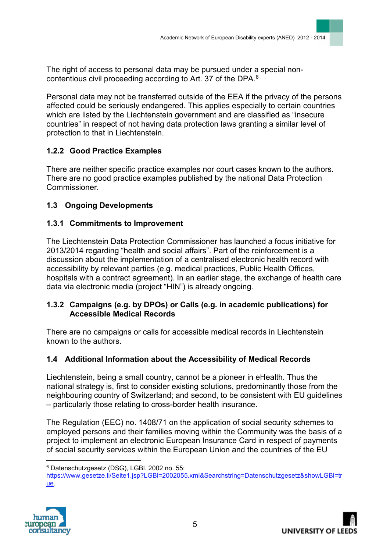The right of access to personal data may be pursued under a special noncontentious civil proceeding according to Art. 37 of the DPA.<sup>6</sup>

Personal data may not be transferred outside of the EEA if the privacy of the persons affected could be seriously endangered. This applies especially to certain countries which are listed by the Liechtenstein government and are classified as "insecure countries" in respect of not having data protection laws granting a similar level of protection to that in Liechtenstein.

## **1.2.2 Good Practice Examples**

There are neither specific practice examples nor court cases known to the authors. There are no good practice examples published by the national Data Protection Commissioner.

## **1.3 Ongoing Developments**

## **1.3.1 Commitments to Improvement**

The Liechtenstein Data Protection Commissioner has launched a focus initiative for 2013/2014 regarding "health and social affairs". Part of the reinforcement is a discussion about the implementation of a centralised electronic health record with accessibility by relevant parties (e.g. medical practices, Public Health Offices, hospitals with a contract agreement). In an earlier stage, the exchange of health care data via electronic media (project "HIN") is already ongoing.

### **1.3.2 Campaigns (e.g. by DPOs) or Calls (e.g. in academic publications) for Accessible Medical Records**

There are no campaigns or calls for accessible medical records in Liechtenstein known to the authors.

### **1.4 Additional Information about the Accessibility of Medical Records**

Liechtenstein, being a small country, cannot be a pioneer in eHealth. Thus the national strategy is, first to consider existing solutions, predominantly those from the neighbouring country of Switzerland; and second, to be consistent with EU guidelines – particularly those relating to cross-border health insurance.

The Regulation (EEC) no. 1408/71 on the application of social security schemes to employed persons and their families moving within the Community was the basis of a project to implement an electronic European Insurance Card in respect of payments of social security services within the European Union and the countries of the EU

[https://www.gesetze.li/Seite1.jsp?LGBl=2002055.xml&Searchstring=Datenschutzgesetz&showLGBl=tr](https://www.gesetze.li/Seite1.jsp?LGBl=2002055.xml&Searchstring=Datenschutzgesetz&showLGBl=true) [ue.](https://www.gesetze.li/Seite1.jsp?LGBl=2002055.xml&Searchstring=Datenschutzgesetz&showLGBl=true)





 $\overline{a}$ <sup>6</sup> Datenschutzgesetz (DSG), LGBl. 2002 no. 55: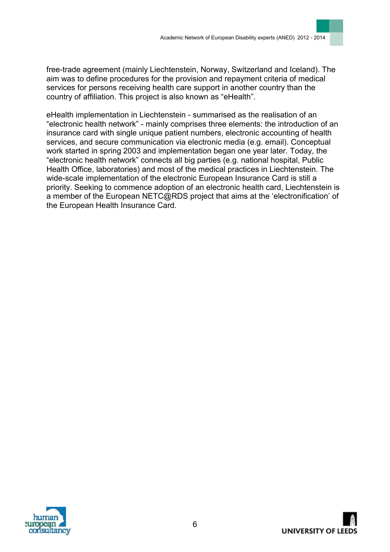free-trade agreement (mainly Liechtenstein, Norway, Switzerland and Iceland). The aim was to define procedures for the provision and repayment criteria of medical services for persons receiving health care support in another country than the country of affiliation. This project is also known as "eHealth".

eHealth implementation in Liechtenstein - summarised as the realisation of an "electronic health network" - mainly comprises three elements: the introduction of an insurance card with single unique patient numbers, electronic accounting of health services, and secure communication via electronic media (e.g. email). Conceptual work started in spring 2003 and implementation began one year later. Today, the "electronic health network" connects all big parties (e.g. national hospital, Public Health Office, laboratories) and most of the medical practices in Liechtenstein. The wide-scale implementation of the electronic European Insurance Card is still a priority. Seeking to commence adoption of an electronic health card, Liechtenstein is a member of the European NETC@RDS project that aims at the 'electronification' of the European Health Insurance Card.

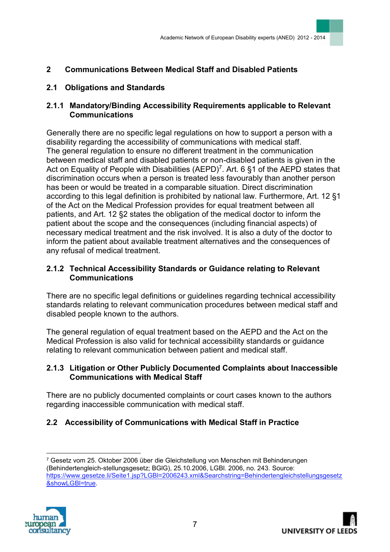## **2 Communications Between Medical Staff and Disabled Patients**

### **2.1 Obligations and Standards**

### **2.1.1 Mandatory/Binding Accessibility Requirements applicable to Relevant Communications**

Generally there are no specific legal regulations on how to support a person with a disability regarding the accessibility of communications with medical staff. The general regulation to ensure no different treatment in the communication between medical staff and disabled patients or non-disabled patients is given in the Act on Equality of People with Disabilities (AEPD)<sup>7</sup>. Art. 6 §1 of the AEPD states that discrimination occurs when a person is treated less favourably than another person has been or would be treated in a comparable situation. Direct discrimination according to this legal definition is prohibited by national law. Furthermore, Art. 12 §1 of the Act on the Medical Profession provides for equal treatment between all patients, and Art. 12 §2 states the obligation of the medical doctor to inform the patient about the scope and the consequences (including financial aspects) of necessary medical treatment and the risk involved. It is also a duty of the doctor to inform the patient about available treatment alternatives and the consequences of any refusal of medical treatment.

### **2.1.2 Technical Accessibility Standards or Guidance relating to Relevant Communications**

There are no specific legal definitions or guidelines regarding technical accessibility standards relating to relevant communication procedures between medical staff and disabled people known to the authors.

The general regulation of equal treatment based on the AEPD and the Act on the Medical Profession is also valid for technical accessibility standards or guidance relating to relevant communication between patient and medical staff.

#### **2.1.3 Litigation or Other Publicly Documented Complaints about Inaccessible Communications with Medical Staff**

There are no publicly documented complaints or court cases known to the authors regarding inaccessible communication with medical staff.

## **2.2 Accessibility of Communications with Medical Staff in Practice**

<sup>7</sup> Gesetz vom 25. Oktober 2006 über die Gleichstellung von Menschen mit Behinderungen (Behindertengleich-stellungsgesetz; BGlG), 25.10.2006, LGBl. 2006, no. 243. Source: [https://www.gesetze.li/Seite1.jsp?LGBl=2006243.xml&Searchstring=Behindertengleichstellungsgesetz](https://www.gesetze.li/Seite1.jsp?LGBl=2006243.xml&Searchstring=Behindertengleichstellungsgesetz&showLGBl=true) [&showLGBl=true.](https://www.gesetze.li/Seite1.jsp?LGBl=2006243.xml&Searchstring=Behindertengleichstellungsgesetz&showLGBl=true)



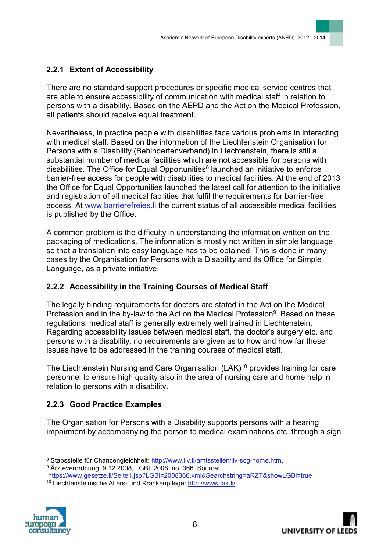# **2.2.1 Extent of Accessibility**

There are no standard support procedures or specific medical service centres that are able to ensure accessibility of communication with medical staff in relation to persons with a disability. Based on the AEPD and the Act on the Medical Profession, all patients should receive equal treatment.

Nevertheless, in practice people with disabilities face various problems in interacting with medical staff. Based on the information of the Liechtenstein Organisation for Persons with a Disability (Behindertenverband) in Liechtenstein, there is still a substantial number of medical facilities which are not accessible for persons with disabilities. The Office for Equal Opportunities<sup>8</sup> launched an initiative to enforce barrier-free access for people with disabilities to medical facilities. At the end of 2013 the Office for Equal Opportunities launched the latest call for attention to the initiative and registration of all medical facilities that fulfil the requirements for barrier-free access. At [www.barrierefreies.li](http://www.barrierefreies.li/) the current status of all accessible medical facilities is published by the Office.

A common problem is the difficulty in understanding the information written on the packaging of medications. The information is mostly not written in simple language so that a translation into easy language has to be obtained. This is done in many cases by the Organisation for Persons with a Disability and its Office for Simple Language, as a private initiative.

## **2.2.2 Accessibility in the Training Courses of Medical Staff**

The legally binding requirements for doctors are stated in the Act on the Medical Profession and in the by-law to the Act on the Medical Profession<sup>9</sup>. Based on these regulations, medical staff is generally extremely well trained in Liechtenstein. Regarding accessibility issues between medical staff, the doctor's surgery etc. and persons with a disability, no requirements are given as to how and how far these issues have to be addressed in the training courses of medical staff.

The Liechtenstein Nursing and Care Organisation (LAK)<sup>10</sup> provides training for care personnel to ensure high quality also in the area of nursing care and home help in relation to persons with a disability.

## **2.2.3 Good Practice Examples**

The Organisation for Persons with a Disability supports persons with a hearing impairment by accompanying the person to medical examinations etc. through a sign

<https://www.gesetze.li/Seite1.jsp?LGBl=2008366.xml&Searchstring=aRZT&showLGBl=true> <sup>10</sup> Liechtensteinische Alters- und Krankenpflege: [http://www.lak.li/.](http://www.lak.li/)





 $\overline{a}$ 8 Stabsstelle für Chancengleichheit: [http://www.llv.li/amtsstellen/llv-scg-home.htm.](http://www.llv.li/amtsstellen/llv-scg-home.htm)

<sup>9</sup> Ärzteverordnung, 9.12.2008, LGBl. 2008, no. 366. Source: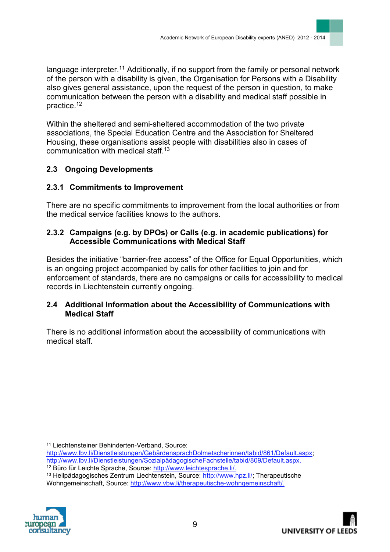language interpreter.<sup>11</sup> Additionally, if no support from the family or personal network of the person with a disability is given, the Organisation for Persons with a Disability also gives general assistance, upon the request of the person in question, to make communication between the person with a disability and medical staff possible in practice.<sup>12</sup>

Within the sheltered and semi-sheltered accommodation of the two private associations, the Special Education Centre and the Association for Sheltered Housing, these organisations assist people with disabilities also in cases of communication with medical staff.<sup>13</sup>

## **2.3 Ongoing Developments**

### **2.3.1 Commitments to Improvement**

There are no specific commitments to improvement from the local authorities or from the medical service facilities knows to the authors.

### **2.3.2 Campaigns (e.g. by DPOs) or Calls (e.g. in academic publications) for Accessible Communications with Medical Staff**

Besides the initiative "barrier-free access" of the Office for Equal Opportunities, which is an ongoing project accompanied by calls for other facilities to join and for enforcement of standards, there are no campaigns or calls for accessibility to medical records in Liechtenstein currently ongoing.

#### **2.4 Additional Information about the Accessibility of Communications with Medical Staff**

There is no additional information about the accessibility of communications with medical staff.

 $\overline{a}$ <sup>11</sup> Liechtensteiner Behinderten-Verband, Source:

<sup>13</sup> Heilpädagogisches Zentrum Liechtenstein, Source: [http://www.hpz.li/;](http://www.hpz.li/) Therapeutische Wohngemeinschaft, Source: [http://www.vbw.li/therapeutische-wohngemeinschaft/.](http://www.vbw.li/therapeutische-wohngemeinschaft/)





[http://www.lbv.li/Dienstleistungen/GebärdensprachDolmetscherinnen/tabid/861/Default.aspx;](http://www.lbv.li/Dienstleistungen/GebärdensprachDolmetscherinnen/tabid/861/Default.aspx) [http://www.lbv.li/Dienstleistungen/SozialpädagogischeFachstelle/tabid/809/Default.aspx.](http://www.lbv.li/Dienstleistungen/SozialpädagogischeFachstelle/tabid/809/Default.aspx) <sup>12</sup> Büro für Leichte Sprache, Source: [http://www.leichtesprache.li/.](http://www.leichtesprache.li/)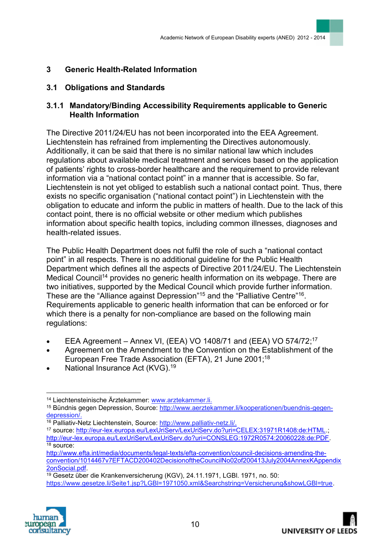## **3 Generic Health-Related Information**

### **3.1 Obligations and Standards**

### **3.1.1 Mandatory/Binding Accessibility Requirements applicable to Generic Health Information**

The Directive 2011/24/EU has not been incorporated into the EEA Agreement. Liechtenstein has refrained from implementing the Directives autonomously. Additionally, it can be said that there is no similar national law which includes regulations about available medical treatment and services based on the application of patients' rights to cross-border healthcare and the requirement to provide relevant information via a "national contact point" in a manner that is accessible. So far, Liechtenstein is not yet obliged to establish such a national contact point. Thus, there exists no specific organisation ("national contact point") in Liechtenstein with the obligation to educate and inform the public in matters of health. Due to the lack of this contact point, there is no official website or other medium which publishes information about specific health topics, including common illnesses, diagnoses and health-related issues.

The Public Health Department does not fulfil the role of such a "national contact point" in all respects. There is no additional guideline for the Public Health Department which defines all the aspects of Directive 2011/24/EU. The Liechtenstein Medical Council<sup>14</sup> provides no generic health information on its webpage. There are two initiatives, supported by the Medical Council which provide further information. These are the "Alliance against Depression"<sup>15</sup> and the "Palliative Centre"<sup>16</sup>. Requirements applicable to generic health information that can be enforced or for which there is a penalty for non-compliance are based on the following main regulations:

- EEA Agreement Annex VI, (EEA) VO 1408/71 and (EEA) VO 574/72;<sup>17</sup>
- Agreement on the Amendment to the Convention on the Establishment of the European Free Trade Association (EFTA), 21 June 2001; 18
- National Insurance Act (KVG).<sup>19</sup>

<sup>&</sup>lt;sup>19</sup> Gesetz über die Krankenversicherung (KGV), 24.11.1971, LGBI. 1971, no. 50: [https://www.gesetze.li/Seite1.jsp?LGBl=1971050.xml&Searchstring=Versicherung&showLGBl=true.](https://www.gesetze.li/Seite1.jsp?LGBl=1971050.xml&Searchstring=Versicherung&showLGBl=true)



 $\overline{a}$ <sup>14</sup> Liechtensteinische Ärztekammer: [www.arztekammer.li.](http://www.arztekammer.li/)

<sup>15</sup> Bündnis gegen Depression, Source: [http://www.aerztekammer.li/kooperationen/buendnis-gegen](http://www.aerztekammer.li/kooperationen/buendnis-gegen-depression/)[depression/.](http://www.aerztekammer.li/kooperationen/buendnis-gegen-depression/)

<sup>16</sup> Palliativ-Netz Liechtenstein, Source: [http://www.palliativ-netz.li/.](http://www.palliativ-netz.li/)

<sup>17</sup> source: [http://eur-lex.europa.eu/LexUriServ/LexUriServ.do?uri=CELEX:31971R1408:de:HTML.](http://eur-lex.europa.eu/LexUriServ/LexUriServ.do?uri=CELEX:31971R1408:de:HTML); [http://eur-lex.europa.eu/LexUriServ/LexUriServ.do?uri=CONSLEG:1972R0574:20060228:de:PDF.](http://eur-lex.europa.eu/LexUriServ/LexUriServ.do?uri=CONSLEG:1972R0574:20060228:de:PDF)  $18$  source:

[http://www.efta.int/media/documents/legal-texts/efta-convention/council-decisions-amending-the](http://www.efta.int/media/documents/legal-texts/efta-convention/council-decisions-amending-the-convention/1014467v7EFTACD200402DecisionoftheCouncilNo02of200413July2004AnnexKAppendix2onSocial.pdf)[convention/1014467v7EFTACD200402DecisionoftheCouncilNo02of200413July2004AnnexKAppendix](http://www.efta.int/media/documents/legal-texts/efta-convention/council-decisions-amending-the-convention/1014467v7EFTACD200402DecisionoftheCouncilNo02of200413July2004AnnexKAppendix2onSocial.pdf) [2onSocial.pdf.](http://www.efta.int/media/documents/legal-texts/efta-convention/council-decisions-amending-the-convention/1014467v7EFTACD200402DecisionoftheCouncilNo02of200413July2004AnnexKAppendix2onSocial.pdf)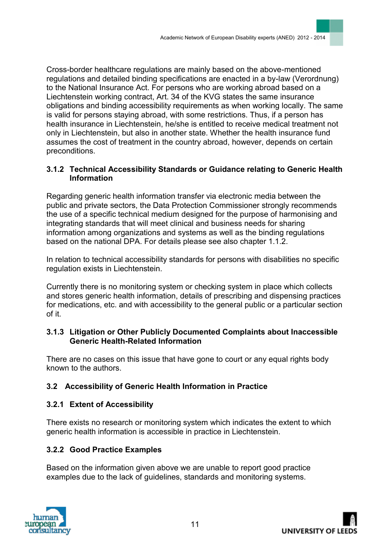Cross-border healthcare regulations are mainly based on the above-mentioned regulations and detailed binding specifications are enacted in a by-law (Verordnung) to the National Insurance Act. For persons who are working abroad based on a Liechtenstein working contract, Art. 34 of the KVG states the same insurance obligations and binding accessibility requirements as when working locally. The same is valid for persons staying abroad, with some restrictions. Thus, if a person has health insurance in Liechtenstein, he/she is entitled to receive medical treatment not only in Liechtenstein, but also in another state. Whether the health insurance fund assumes the cost of treatment in the country abroad, however, depends on certain preconditions.

### **3.1.2 Technical Accessibility Standards or Guidance relating to Generic Health Information**

Regarding generic health information transfer via electronic media between the public and private sectors, the Data Protection Commissioner strongly recommends the use of a specific technical medium designed for the purpose of harmonising and integrating standards that will meet clinical and business needs for sharing information among organizations and systems as well as the binding regulations based on the national DPA. For details please see also chapter 1.1.2.

In relation to technical accessibility standards for persons with disabilities no specific regulation exists in Liechtenstein.

Currently there is no monitoring system or checking system in place which collects and stores generic health information, details of prescribing and dispensing practices for medications, etc. and with accessibility to the general public or a particular section of it.

#### **3.1.3 Litigation or Other Publicly Documented Complaints about Inaccessible Generic Health-Related Information**

There are no cases on this issue that have gone to court or any equal rights body known to the authors.

## **3.2 Accessibility of Generic Health Information in Practice**

### **3.2.1 Extent of Accessibility**

There exists no research or monitoring system which indicates the extent to which generic health information is accessible in practice in Liechtenstein.

### **3.2.2 Good Practice Examples**

Based on the information given above we are unable to report good practice examples due to the lack of guidelines, standards and monitoring systems.

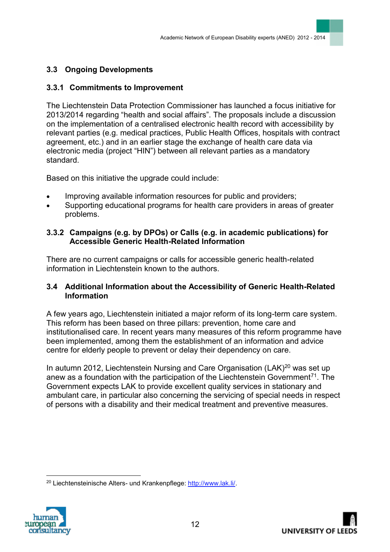## **3.3 Ongoing Developments**

### **3.3.1 Commitments to Improvement**

The Liechtenstein Data Protection Commissioner has launched a focus initiative for 2013/2014 regarding "health and social affairs". The proposals include a discussion on the implementation of a centralised electronic health record with accessibility by relevant parties (e.g. medical practices, Public Health Offices, hospitals with contract agreement, etc.) and in an earlier stage the exchange of health care data via electronic media (project "HIN") between all relevant parties as a mandatory standard.

Based on this initiative the upgrade could include:

- Improving available [information resources for public](http://www.health.gov.on.ca/en/public/programs/drugs/ons/resources.aspx) and [providers;](http://www.health.gov.on.ca/en/pro/programs/drugs/ons/resources.aspx)
- Supporting educational programs for health care providers in areas of greater problems.

### **3.3.2 Campaigns (e.g. by DPOs) or Calls (e.g. in academic publications) for Accessible Generic Health-Related Information**

There are no current campaigns or calls for accessible generic health-related information in Liechtenstein known to the authors.

#### **3.4 Additional Information about the Accessibility of Generic Health-Related Information**

A few years ago, Liechtenstein initiated a major reform of its long-term care system. This reform has been based on three pillars: prevention, home care and institutionalised care. In recent years many measures of this reform programme have been implemented, among them the establishment of an information and advice centre for elderly people to prevent or delay their dependency on care.

In autumn 2012, Liechtenstein Nursing and Care Organisation (LAK) $^{20}$  was set up anew as a foundation with the participation of the Liechtenstein Government<sup>71</sup>. The Government expects LAK to provide excellent quality services in stationary and ambulant care, in particular also concerning the servicing of special needs in respect of persons with a disability and their medical treatment and preventive measures.

<sup>20</sup> Liechtensteinische Alters- und Krankenpflege: [http://www.lak.li/.](http://www.lak.li/)



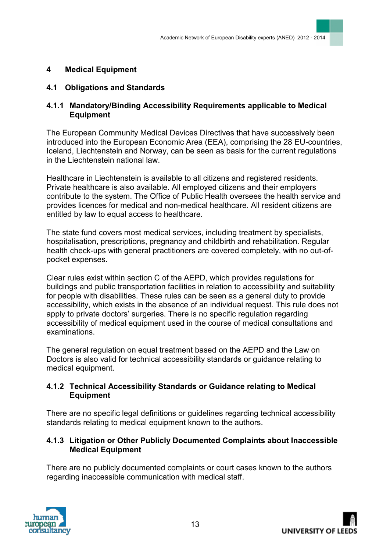### **4 Medical Equipment**

### **4.1 Obligations and Standards**

#### **4.1.1 Mandatory/Binding Accessibility Requirements applicable to Medical Equipment**

The European Community Medical Devices Directives that have successively been introduced into the European Economic Area (EEA), comprising the 28 EU-countries, Iceland, Liechtenstein and Norway, can be seen as basis for the current regulations in the Liechtenstein national law.

Healthcare in Liechtenstein is available to all citizens and registered residents. Private healthcare is also available. All employed citizens and their employers contribute to the system. The Office of Public Health oversees the health service and provides licences for medical and non-medical healthcare. All resident citizens are entitled by law to equal access to healthcare.

The state fund covers most medical services, including treatment by specialists, hospitalisation, prescriptions, pregnancy and childbirth and rehabilitation. Regular health check-ups with [general practitioners](http://en.wikipedia.org/wiki/General_practitioners) are covered completely, with no out-ofpocket expenses.

Clear rules exist within section C of the AEPD, which provides regulations for buildings and public transportation facilities in relation to accessibility and suitability for people with disabilities. These rules can be seen as a general duty to provide accessibility, which exists in the absence of an individual request. This rule does not apply to private doctors' surgeries. There is no specific regulation regarding accessibility of medical equipment used in the course of medical consultations and examinations.

The general regulation on equal treatment based on the AEPD and the Law on Doctors is also valid for technical accessibility standards or guidance relating to medical equipment.

#### **4.1.2 Technical Accessibility Standards or Guidance relating to Medical Equipment**

There are no specific legal definitions or guidelines regarding technical accessibility standards relating to medical equipment known to the authors.

#### **4.1.3 Litigation or Other Publicly Documented Complaints about Inaccessible Medical Equipment**

There are no publicly documented complaints or court cases known to the authors regarding inaccessible communication with medical staff.



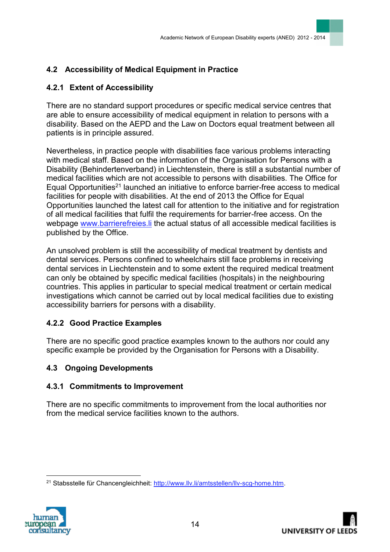# **4.2 Accessibility of Medical Equipment in Practice**

## **4.2.1 Extent of Accessibility**

There are no standard support procedures or specific medical service centres that are able to ensure accessibility of medical equipment in relation to persons with a disability. Based on the AEPD and the Law on Doctors equal treatment between all patients is in principle assured.

Nevertheless, in practice people with disabilities face various problems interacting with medical staff. Based on the information of the Organisation for Persons with a Disability (Behindertenverband) in Liechtenstein, there is still a substantial number of medical facilities which are not accessible to persons with disabilities. The Office for Equal Opportunities<sup>21</sup> launched an initiative to enforce barrier-free access to medical facilities for people with disabilities. At the end of 2013 the Office for Equal Opportunities launched the latest call for attention to the initiative and for registration of all medical facilities that fulfil the requirements for barrier-free access. On the webpage [www.barrierefreies.li](http://www.barrierefreies.li/) the actual status of all accessible medical facilities is published by the Office.

An unsolved problem is still the accessibility of medical treatment by dentists and dental services. Persons confined to wheelchairs still face problems in receiving dental services in Liechtenstein and to some extent the required medical treatment can only be obtained by specific medical facilities (hospitals) in the neighbouring countries. This applies in particular to special medical treatment or certain medical investigations which cannot be carried out by local medical facilities due to existing accessibility barriers for persons with a disability.

## **4.2.2 Good Practice Examples**

There are no specific good practice examples known to the authors nor could any specific example be provided by the Organisation for Persons with a Disability.

### **4.3 Ongoing Developments**

### **4.3.1 Commitments to Improvement**

There are no specific commitments to improvement from the local authorities nor from the medical service facilities known to the authors.

<sup>21</sup> Stabsstelle für Chancengleichheit: [http://www.llv.li/amtsstellen/llv-scg-home.htm.](http://www.llv.li/amtsstellen/llv-scg-home.htm)

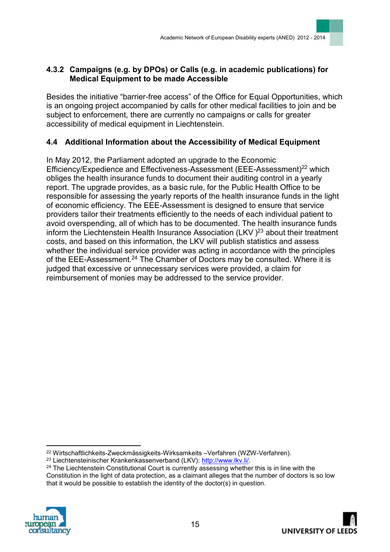## **4.3.2 Campaigns (e.g. by DPOs) or Calls (e.g. in academic publications) for Medical Equipment to be made Accessible**

Besides the initiative "barrier-free access" of the Office for Equal Opportunities, which is an ongoing project accompanied by calls for other medical facilities to join and be subject to enforcement, there are currently no campaigns or calls for greater accessibility of medical equipment in Liechtenstein.

## **4.4 Additional Information about the Accessibility of Medical Equipment**

In May 2012, the Parliament adopted an upgrade to the Economic Efficiency/Expedience and Effectiveness-Assessment (EEE-Assessment)<sup>22</sup> which obliges the health insurance funds to document their auditing control in a yearly report. The upgrade provides, as a basic rule, for the Public Health Office to be responsible for assessing the yearly reports of the health insurance funds in the light of economic efficiency. The EEE-Assessment is designed to ensure that service providers tailor their treatments efficiently to the needs of each individual patient to avoid overspending, all of which has to be documented. The health insurance funds inform the Liechtenstein Health Insurance Association (LKV)<sup>23</sup> about their treatment costs, and based on this information, the LKV will publish statistics and assess whether the individual service provider was acting in accordance with the principles of the EEE-Assessment.<sup>24</sup> The Chamber of Doctors may be consulted. Where it is judged that excessive or unnecessary services were provided, a claim for reimbursement of monies may be addressed to the service provider.

<sup>&</sup>lt;sup>24</sup> The Liechtenstein Constitutional Court is currently assessing whether this is in line with the Constitution in the light of data protection, as a claimant alleges that the number of doctors is so low that it would be possible to establish the identity of the doctor(s) in question.





<sup>22</sup> Wirtschaftlichkeits-Zweckmässigkeits-Wirksamkeits –Verfahren (WZW-Verfahren).

<sup>&</sup>lt;sup>23</sup> Liechtensteinischer Krankenkassenverband (LKV): [http://www.lkv.li/.](http://www.lkv.li/)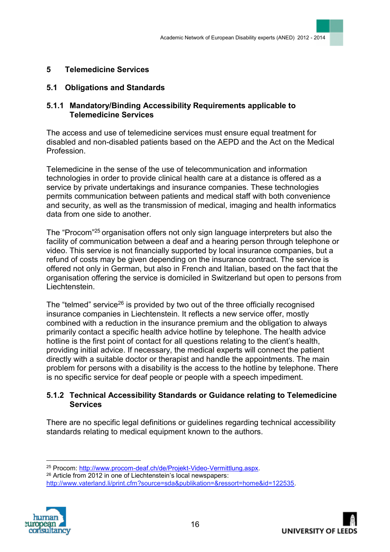### **5 Telemedicine Services**

#### **5.1 Obligations and Standards**

#### **5.1.1 Mandatory/Binding Accessibility Requirements applicable to Telemedicine Services**

The access and use of telemedicine services must ensure equal treatment for disabled and non-disabled patients based on the AEPD and the Act on the Medical Profession.

Telemedicine in the sense of the use of [telecommunication](http://en.wikipedia.org/wiki/Telecommunication) and [information](http://en.wikipedia.org/wiki/Information_technology)  [technologies](http://en.wikipedia.org/wiki/Information_technology) in order to provide [clinical health care](http://en.wikipedia.org/wiki/Health_care) at a distance is offered as a service by private undertakings and insurance companies. These technologies permits communication between patients and medical staff with both convenience and security, as well as the [transmission](http://en.wikipedia.org/wiki/Transmission_(telecommunications)) of medical, [imaging](http://en.wikipedia.org/wiki/Medical_imaging) and [health informatics](http://en.wikipedia.org/wiki/Health_informatics) data from one side to another.

The "Procom"<sup>25</sup> organisation offers not only sign language interpreters but also the facility of communication between a deaf and a hearing person through telephone or video. This service is not financially supported by local insurance companies, but a refund of costs may be given depending on the insurance contract. The service is offered not only in German, but also in French and Italian, based on the fact that the organisation offering the service is domiciled in Switzerland but open to persons from Liechtenstein.

The "telmed" service<sup>26</sup> is provided by two out of the three officially recognised insurance companies in Liechtenstein. It reflects a new service offer, mostly combined with a reduction in the insurance premium and the obligation to always primarily contact a specific health advice hotline by telephone. The health advice hotline is the first point of contact for all questions relating to the client's health, providing initial advice. If necessary, the medical experts will connect the patient directly with a suitable doctor or therapist and handle the appointments. The main problem for persons with a disability is the access to the hotline by telephone. There is no specific service for deaf people or people with a speech impediment.

#### **5.1.2 Technical Accessibility Standards or Guidance relating to Telemedicine Services**

There are no specific legal definitions or guidelines regarding technical accessibility standards relating to medical equipment known to the authors.

[http://www.vaterland.li/print.cfm?source=sda&publikation=&ressort=home&id=122535.](http://www.vaterland.li/print.cfm?source=sda&publikation=&ressort=home&id=122535)



<sup>25</sup> Procom: [http://www.procom-deaf.ch/de/Projekt-Video-Vermittlung.aspx.](http://www.procom-deaf.ch/de/Projekt-Video-Vermittlung.aspx)

<sup>26</sup> Article from 2012 in one of Liechtenstein's local newspapers: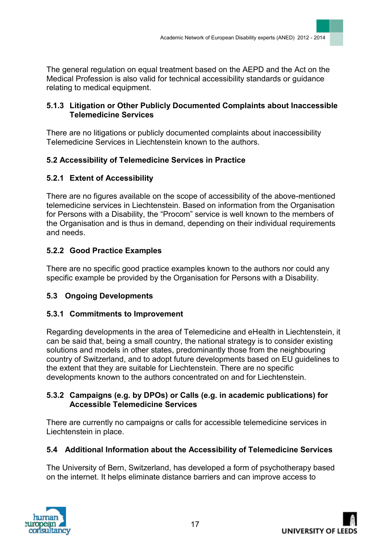The general regulation on equal treatment based on the AEPD and the Act on the Medical Profession is also valid for technical accessibility standards or guidance relating to medical equipment.

### **5.1.3 Litigation or Other Publicly Documented Complaints about Inaccessible Telemedicine Services**

There are no litigations or publicly documented complaints about inaccessibility Telemedicine Services in Liechtenstein known to the authors.

## **5.2 Accessibility of Telemedicine Services in Practice**

## **5.2.1 Extent of Accessibility**

There are no figures available on the scope of accessibility of the above-mentioned telemedicine services in Liechtenstein. Based on information from the Organisation for Persons with a Disability, the "Procom" service is well known to the members of the Organisation and is thus in demand, depending on their individual requirements and needs.

## **5.2.2 Good Practice Examples**

There are no specific good practice examples known to the authors nor could any specific example be provided by the Organisation for Persons with a Disability.

### **5.3 Ongoing Developments**

### **5.3.1 Commitments to Improvement**

Regarding developments in the area of Telemedicine and eHealth in Liechtenstein, it can be said that, being a small country, the national strategy is to consider existing solutions and models in other states, predominantly those from the neighbouring country of Switzerland, and to adopt future developments based on EU guidelines to the extent that they are suitable for Liechtenstein. There are no specific developments known to the authors concentrated on and for Liechtenstein.

#### **5.3.2 Campaigns (e.g. by DPOs) or Calls (e.g. in academic publications) for Accessible Telemedicine Services**

There are currently no campaigns or calls for accessible telemedicine services in Liechtenstein in place.

### **5.4 Additional Information about the Accessibility of Telemedicine Services**

The University of Bern, Switzerland, has developed a form of psychotherapy based on the internet. It helps eliminate distance barriers and can improve access to